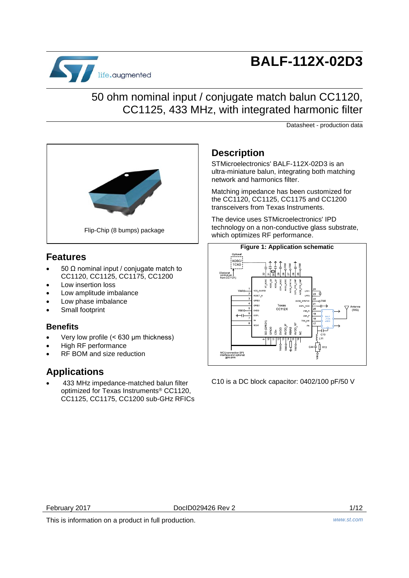

# **BALF-112X-02D3**

## 50 ohm nominal input / conjugate match balun CC1120, CC1125, 433 MHz, with integrated harmonic filter

Datasheet - production data



## **Features**

- 50 Ω nominal input / conjugate match to CC1120, CC1125, CC1175, CC1200
- Low insertion loss
- Low amplitude imbalance
- Low phase imbalance
- Small footprint

## **Benefits**

- Very low profile (< 630 μm thickness)
- High RF performance
- RF BOM and size reduction

## **Applications**

 433 MHz impedance-matched balun filter optimized for Texas Instruments® CC1120, CC1125, CC1175, CC1200 sub-GHz RFICs

## **Description**

STMicroelectronics' BALF-112X-02D3 is an ultra-miniature balun, integrating both matching network and harmonics filter.

Matching impedance has been customized for the CC1120, CC1125, CC1175 and CC1200 transceivers from Texas Instruments.

The device uses STMicroelectronics' IPD technology on a non-conductive glass substrate, which optimizes RF performance.



C10 is a DC block capacitor: 0402/100 pF/50 V

February 2017 DocID029426 Rev 2 1/12

This is information on a product in full production. *www.st.com*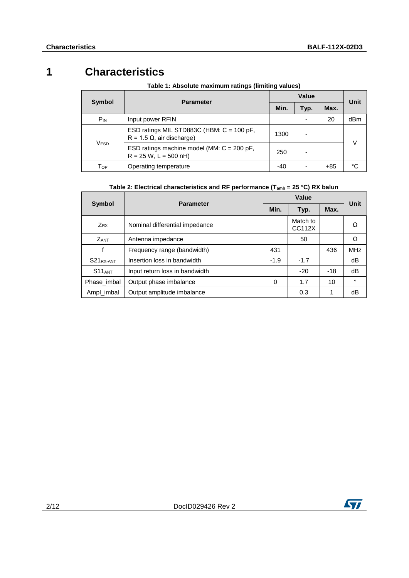## **1 Characteristics**

| Symbol           | <b>Parameter</b>                                                               |       | Unit |       |     |  |  |
|------------------|--------------------------------------------------------------------------------|-------|------|-------|-----|--|--|
|                  |                                                                                | Min.  | Typ. | Max.  |     |  |  |
| $P_{IN}$         | Input power RFIN                                                               |       |      | 20    | dBm |  |  |
| V <sub>ESD</sub> | ESD ratings MIL STD883C (HBM: C = 100 pF,<br>$R = 1.5 \Omega$ , air discharge) | 1300  |      |       | V   |  |  |
|                  | ESD ratings machine model (MM: $C = 200$ pF,<br>$R = 25 W$ , L = 500 nH)       | 250   |      |       |     |  |  |
| Тор              | Operating temperature                                                          | $-40$ |      | $+85$ | °C  |  |  |

### **Table 1: Absolute maximum ratings (limiting values)**

### **Table 2: Electrical characteristics and RF performance (Tamb = 25 °C) RX balun**

| <b>Symbol</b>         | <b>Parameter</b>               |        | Value              |       |            |  |  |
|-----------------------|--------------------------------|--------|--------------------|-------|------------|--|--|
|                       |                                | Min.   | Typ.               | Max.  | Unit       |  |  |
| $Z_{RX}$              | Nominal differential impedance |        | Match to<br>CC112X |       | Ω          |  |  |
| ZANT                  | Antenna impedance              |        | 50                 |       | Ω          |  |  |
|                       | Frequency range (bandwidth)    | 431    |                    | 436   | <b>MHz</b> |  |  |
| S21 <sub>RX-ANT</sub> | Insertion loss in bandwidth    | $-1.9$ | $-1.7$             |       | dB         |  |  |
| $S11_{ANT}$           | Input return loss in bandwidth |        | $-20$              | $-18$ | dB         |  |  |
| Phase imbal           | Output phase imbalance         | 0      | 1.7                | 10    | $\circ$    |  |  |
| Ampl_imbal            | Output amplitude imbalance     |        | 0.3                | 1     | dB         |  |  |

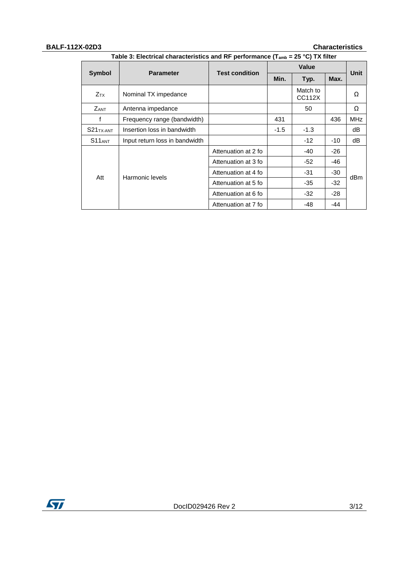### **BALF-112X-02D3 Characteristics**

|                        |                                | <b>Test condition</b> |        | <b>Unit</b>        |       |            |
|------------------------|--------------------------------|-----------------------|--------|--------------------|-------|------------|
| Symbol                 | <b>Parameter</b>               |                       | Min.   | Typ.               | Max.  |            |
| <b>Z</b> <sub>TX</sub> | Nominal TX impedance           |                       |        | Match to<br>CC112X |       | Ω          |
| <b>ZANT</b>            | Antenna impedance              |                       |        | 50                 |       | Ω          |
| f                      | Frequency range (bandwidth)    |                       | 431    |                    | 436   | <b>MHz</b> |
| S21 <sub>TX-ANT</sub>  | Insertion loss in bandwidth    |                       | $-1.5$ | $-1.3$             |       | dB         |
| $S11_{ANT}$            | Input return loss in bandwidth |                       |        | $-12$              | $-10$ | dB         |
|                        |                                | Attenuation at 2 fo   |        | -40                | -26   |            |
|                        |                                | Attenuation at 3 fo   |        | -52                | -46   |            |
| Att                    | Harmonic levels                | Attenuation at 4 fo   |        | -31                | $-30$ |            |
|                        |                                | Attenuation at 5 fo   |        | -35                | -32   | dBm        |
|                        |                                | Attenuation at 6 fo   |        | -32                | $-28$ |            |
|                        |                                | Attenuation at 7 fo   |        | -48                | -44   |            |

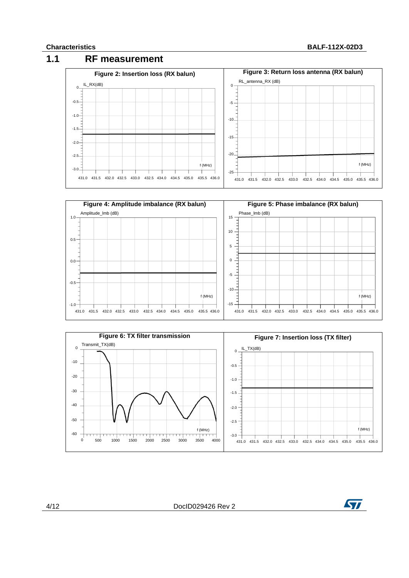### **Characteristics BALF-112X-02D3**









4/12 DocID029426 Rev 2

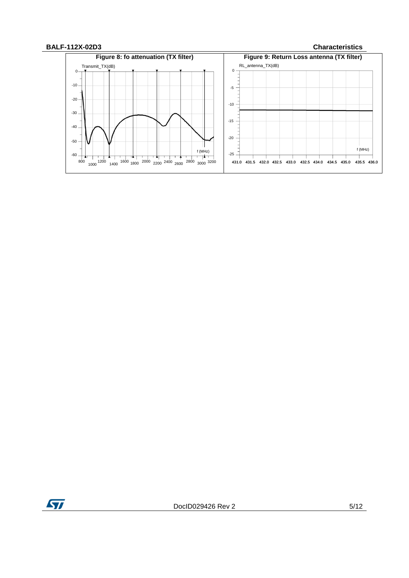

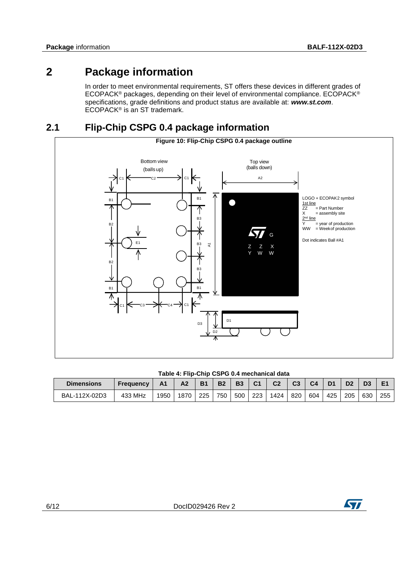## **2 Package information**

In order to meet environmental requirements, ST offers these devices in different grades of ECOPACK® packages, depending on their level of environmental compliance. ECOPACK® specifications, grade definitions and product status are available at: *www.st.com*. ECOPACK® is an ST trademark.

## **2.1 Flip-Chip CSPG 0.4 package information**



### **Table 4: Flip-Chip CSPG 0.4 mechanical data**

| <b>Dimensions</b> | <b>Frequency</b> | Α1   | Α2   | <b>B1</b> | B <sub>2</sub> | <b>B3</b> | C <sub>1</sub> | C <sub>2</sub> | C <sub>3</sub> | C <sub>4</sub> |     | D <sub>2</sub> | D <sub>3</sub> |     |
|-------------------|------------------|------|------|-----------|----------------|-----------|----------------|----------------|----------------|----------------|-----|----------------|----------------|-----|
| BAL-112X-02D3     | 433 MHz          | 1950 | 1870 | 225       | 750            | 500       | 223            | 1424           | 820            | 604            | 425 | 205            | 630            | 255 |

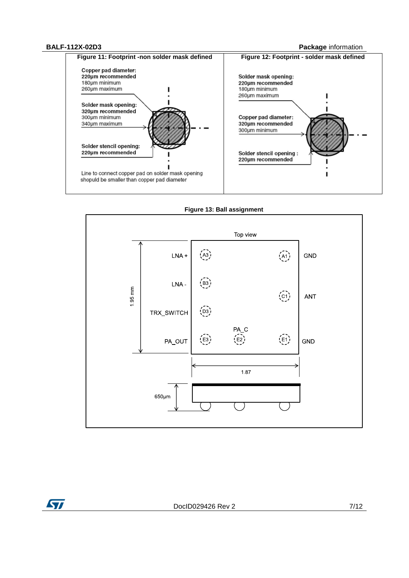### **BALF-112X-02D3 Package** information





**Figure 13: Ball assignment**

ST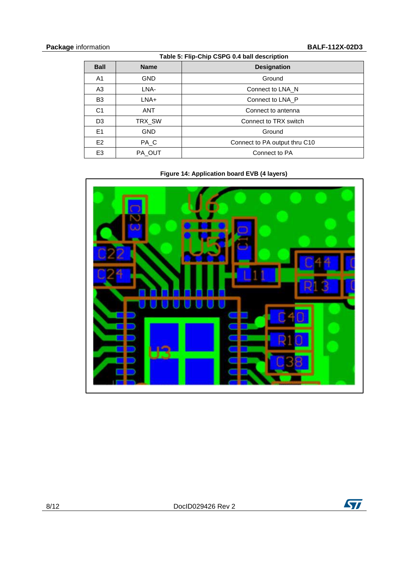| Table 5: Flip-Chip CSPG 0.4 ball description |             |                               |  |  |  |  |
|----------------------------------------------|-------------|-------------------------------|--|--|--|--|
| <b>Ball</b>                                  | <b>Name</b> | <b>Designation</b>            |  |  |  |  |
| A1                                           | <b>GND</b>  | Ground                        |  |  |  |  |
| A3                                           | LNA-        | Connect to LNA N              |  |  |  |  |
| B <sub>3</sub>                               | $LNA+$      | Connect to LNA P              |  |  |  |  |
| C <sub>1</sub>                               | <b>ANT</b>  | Connect to antenna            |  |  |  |  |
| D <sub>3</sub>                               | TRX SW      | Connect to TRX switch         |  |  |  |  |
| E1                                           | <b>GND</b>  | Ground                        |  |  |  |  |
| E <sub>2</sub>                               | PA C        | Connect to PA output thru C10 |  |  |  |  |
| E <sub>3</sub>                               | PA OUT      | Connect to PA                 |  |  |  |  |

**Figure 14: Application board EVB (4 layers)**



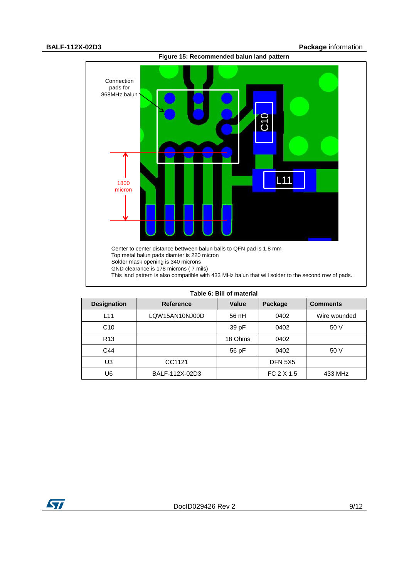

| Table 6: Bill of material |                  |         |                |                 |  |  |  |  |
|---------------------------|------------------|---------|----------------|-----------------|--|--|--|--|
| <b>Designation</b>        | <b>Reference</b> | Value   | Package        | <b>Comments</b> |  |  |  |  |
| L11                       | LQW15AN10NJ00D   | 56 nH   | 0402           | Wire wounded    |  |  |  |  |
| C <sub>10</sub>           |                  | 39 pF   | 0402           | 50 V            |  |  |  |  |
| R <sub>13</sub>           |                  | 18 Ohms | 0402           |                 |  |  |  |  |
| C44                       |                  | 56 pF   | 0402           | 50 V            |  |  |  |  |
| U3                        | CC1121           |         | <b>DFN 5X5</b> |                 |  |  |  |  |
| U6                        | BALF-112X-02D3   |         | FC 2 X 1.5     | 433 MHz         |  |  |  |  |

ST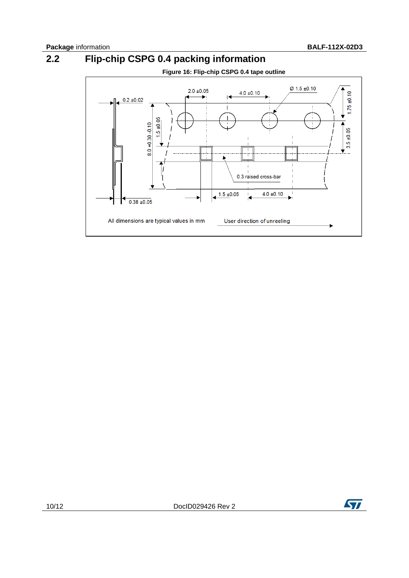# **2.2 Flip-chip CSPG 0.4 packing information**





10/12 DocID029426 Rev 2

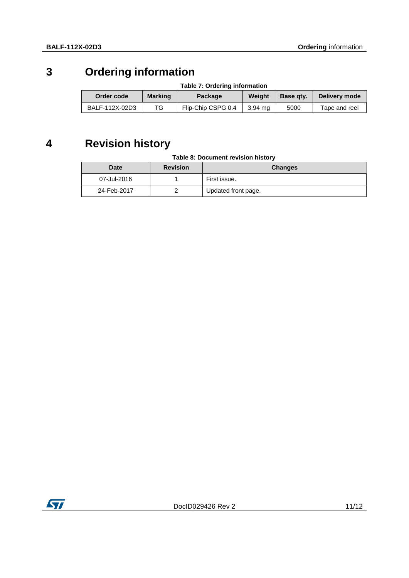## **3 Ordering information**

### **Table 7: Ordering information**

| Order code     | <b>Marking</b> | Weight<br><b>Package</b> |         | Base gtv. | Delivery mode |  |
|----------------|----------------|--------------------------|---------|-----------|---------------|--|
| BALF-112X-02D3 | TG             | Flip-Chip CSPG 0.4       | 3.94 ma | 5000      | Tape and reel |  |

## **4 Revision history**

### **Table 8: Document revision history**

| <b>Date</b> | <b>Revision</b> | <b>Changes</b>      |
|-------------|-----------------|---------------------|
| 07-Jul-2016 |                 | First issue.        |
| 24-Feb-2017 |                 | Updated front page. |

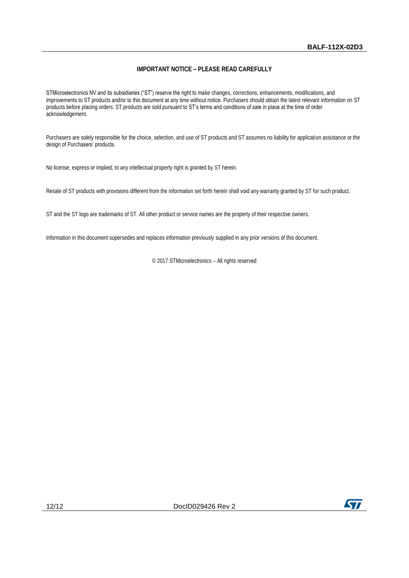### **IMPORTANT NOTICE – PLEASE READ CAREFULLY**

STMicroelectronics NV and its subsidiaries ("ST") reserve the right to make changes, corrections, enhancements, modifications, and improvements to ST products and/or to this document at any time without notice. Purchasers should obtain the latest relevant information on ST products before placing orders. ST products are sold pursuant to ST's terms and conditions of sale in place at the time of order acknowledgement.

Purchasers are solely responsible for the choice, selection, and use of ST products and ST assumes no liability for application assistance or the design of Purchasers' products.

No license, express or implied, to any intellectual property right is granted by ST herein.

Resale of ST products with provisions different from the information set forth herein shall void any warranty granted by ST for such product.

ST and the ST logo are trademarks of ST. All other product or service names are the property of their respective owners.

Information in this document supersedes and replaces information previously supplied in any prior versions of this document.

© 2017 STMicroelectronics – All rights reserved